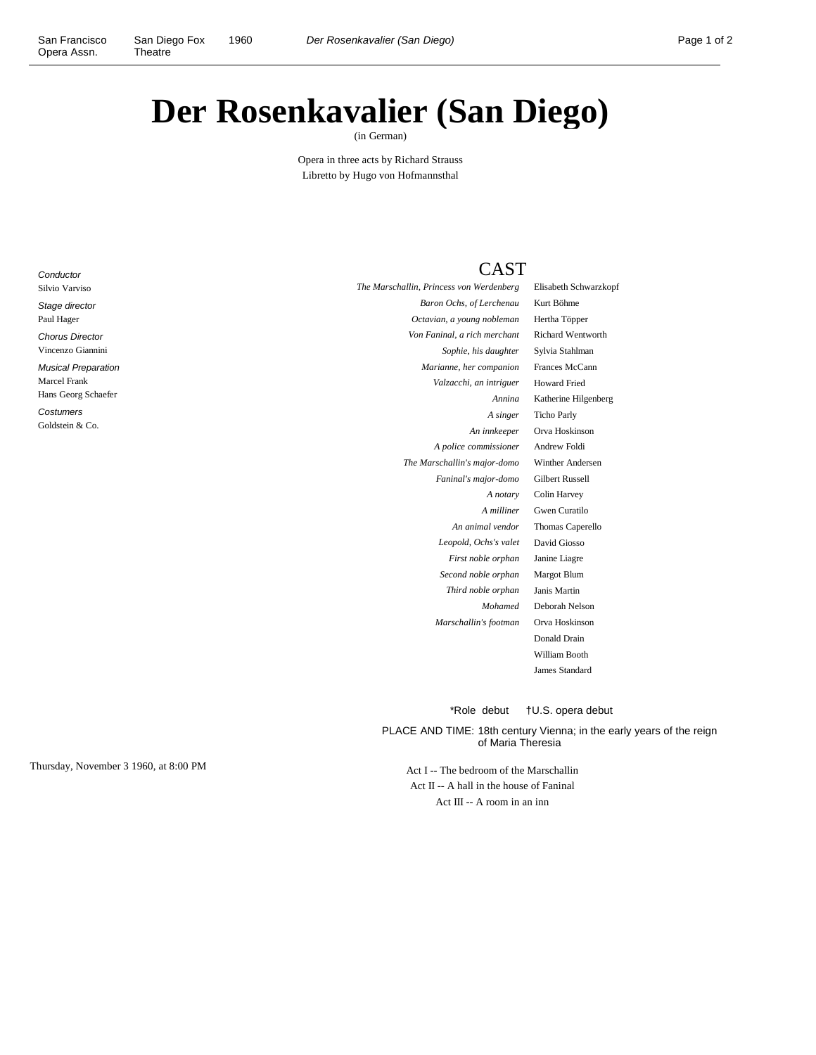## **Der Rosenkavalier (San Diego)**

(in German)

Opera in three acts by Richard Strauss Libretto by Hugo von Hofmannsthal

## **Conductor** Silvio Varviso Stage director Paul Hager Chorus Director Vincenzo Giannini Musical Preparation

Marcel Frank

Hans Georg Schaefer **Costumers** 

Goldstein & Co.

CAST

*The Marschallin, Princess von Werdenberg* Elisabeth Schwarzkopf

\*Role debut †U.S. opera debut

PLACE AND TIME: 18th century Vienna; in the early years of the reign of Maria Theresia

Thursday, November 3 1960, at 8:00 PM Act I -- The bedroom of the Marschallin Act II -- A hall in the house of Faninal Act III -- A room in an inn

| Baron Ochs, of Lerchenau     | Kurt Böhme               |
|------------------------------|--------------------------|
| Octavian, a young nobleman   | Hertha Töpper            |
| Von Faninal, a rich merchant | <b>Richard Wentworth</b> |
| Sophie, his daughter         | Sylvia Stahlman          |
| Marianne, her companion      | Frances McCann           |
| Valzacchi, an intriguer      | <b>Howard Fried</b>      |
| Annina                       | Katherine Hilgenberg     |
| A singer                     | <b>Ticho Parly</b>       |
| An innkeeper                 | Orva Hoskinson           |
| A police commissioner        | Andrew Foldi             |
| The Marschallin's major-domo | Winther Andersen         |
| Faninal's major-domo         | <b>Gilbert Russell</b>   |
| A notary                     | Colin Harvey             |
| A milliner                   | Gwen Curatilo            |
| An animal vendor             | Thomas Caperello         |
| Leopold, Ochs's valet        | David Giosso             |
| First noble orphan           | Janine Liagre            |
| Second noble orphan          | Margot Blum              |
| Third noble orphan           | Janis Martin             |
| <b>Mohamed</b>               | Deborah Nelson           |
| Marschallin's footman        | Orva Hoskinson           |
|                              | Donald Drain             |
|                              | William Booth            |
|                              | James Standard           |